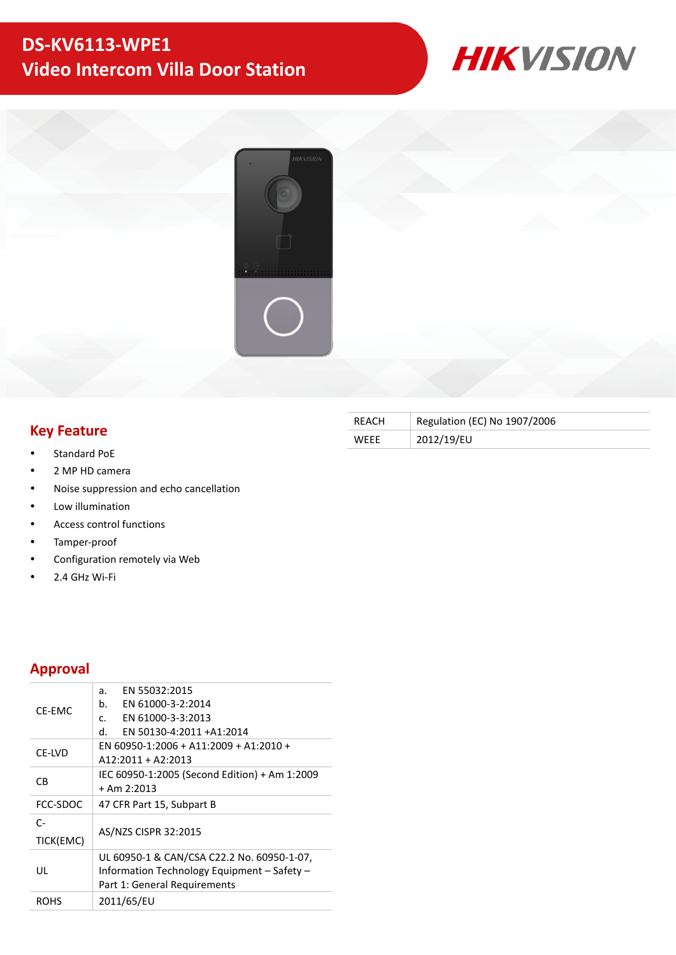# **DS-KV6113-WPE1 Video Intercom Villa Door Station**





## **Key Feature**

- Standard PoE
- 2 MP HD camera
- Noise suppression and echo cancellation
- Low illumination
- Access control functions
- Tamper-proof
- Configuration remotely via Web
- 2.4 GHz Wi-Fi

### **Approval**

| CF-FMC            | EN 55032:2015<br>a.<br>EN 61000-3-2:2014<br>b.<br>EN 61000-3-3:2013<br>$\mathsf{C}$ .<br>d.<br>EN 50130-4:2011 +A1:2014   |  |  |  |  |
|-------------------|---------------------------------------------------------------------------------------------------------------------------|--|--|--|--|
| CE-LVD            | EN 60950-1:2006 + A11:2009 + A1:2010 +<br>$A12:2011 + A2:2013$                                                            |  |  |  |  |
| CВ                | IEC 60950-1:2005 (Second Edition) + Am 1:2009<br>$+$ Am 2:2013                                                            |  |  |  |  |
| FCC-SDOC          | 47 CFR Part 15, Subpart B                                                                                                 |  |  |  |  |
| $C-$<br>TICK(EMC) | AS/NZS CISPR 32:2015                                                                                                      |  |  |  |  |
| UL                | UL 60950-1 & CAN/CSA C22.2 No. 60950-1-07,<br>Information Technology Equipment - Safety -<br>Part 1: General Requirements |  |  |  |  |
| ROHS              | 2011/65/EU                                                                                                                |  |  |  |  |
|                   |                                                                                                                           |  |  |  |  |

| REACH       | Regulation (EC) No 1907/2006 |
|-------------|------------------------------|
| <b>WFFF</b> | 2012/19/EU                   |